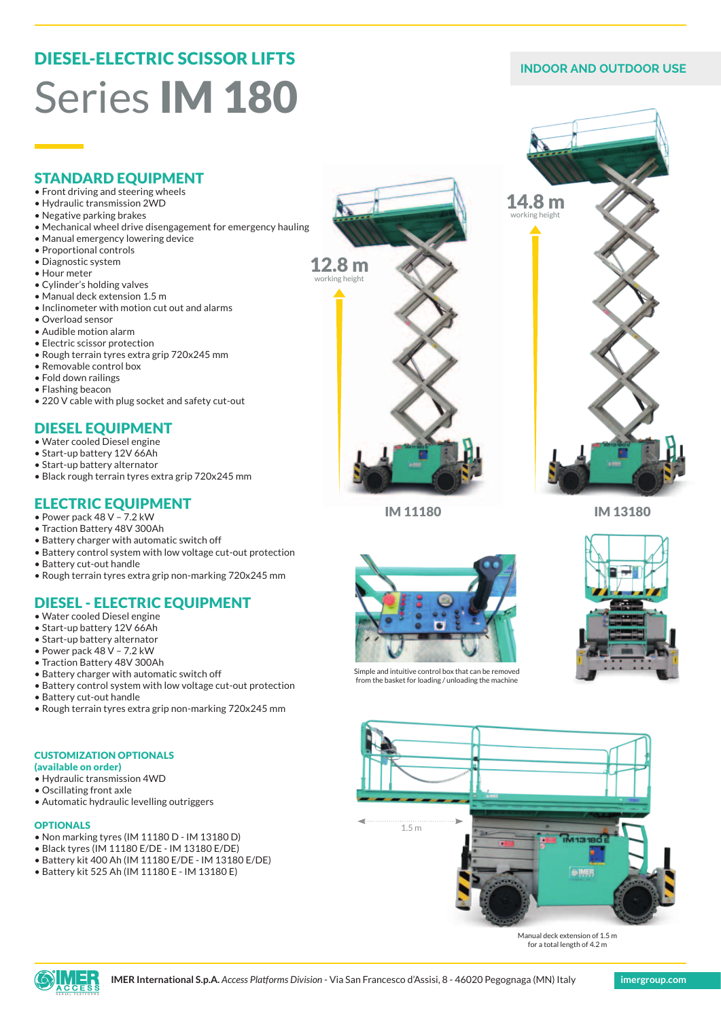# DIESEL-ELECTRIC SCISSOR LIFTS Series IM 180

#### **INDOOR AND OUTDOOR USE**

## STANDARD EQUIPMENT

- Front driving and steering wheels • Hydraulic transmission 2WD
- Negative parking brakes
- 
- Mechanical wheel drive disengagement for emergency hauling
- Manual emergency lowering device
- Proportional controls
- Diagnostic system
- Hour meter
- Cylinder's holding valves
- Manual deck extension 1.5 m
- Inclinometer with motion cut out and alarms
- Overload sensor
- Audible motion alarm
- Electric scissor protection
- Rough terrain tyres extra grip 720x245 mm
- Removable control box
- Fold down railings
- Flashing beacon
- 220 V cable with plug socket and safety cut-out

#### DIESEL EQUIPMENT

- Water cooled Diesel engine
- Start-up battery 12V 66Ah
- Start-up battery alternator
- Black rough terrain tyres extra grip 720x245 mm

### ELECTRIC EQUIPMENT

- Power pack 48 V 7.2 kW
- Traction Battery 48V 300Ah
- Battery charger with automatic switch off
- Battery control system with low voltage cut-out protection
- Battery cut-out handle
- Rough terrain tyres extra grip non-marking 720x245 mm

## DIESEL - ELECTRIC EQUIPMENT

- Water cooled Diesel engine
- Start-up battery 12V 66Ah
- Start-up battery alternator
- Power pack 48 V 7.2 kW
- Traction Battery 48V 300Ah
- Battery charger with automatic switch off
- Battery control system with low voltage cut-out protection
- Battery cut-out handle
- Rough terrain tyres extra grip non-marking 720x245 mm

#### CUSTOMIZATION OPTIONALS (available on order)

- Hydraulic transmission 4WD
- Oscillating front axle
- Automatic hydraulic levelling outriggers

#### **OPTIONALS**

- Non marking tyres (IM 11180 D IM 13180 D)
- Black tyres (IM 11180 E/DE IM 13180 E/DE)
- Battery kit 400 Ah (IM 11180 E/DE IM 13180 E/DE)
- Battery kit 525 Ah (IM 11180 E IM 13180 E)

12.8 m - .<br><sub>/</sub>orking heig



IM 11180 IM 13180



Simple and intuitive control box that can be removed from the basket for loading / unloading the machine





Manual deck extension of 1.5 m for a total length of 4.2 m